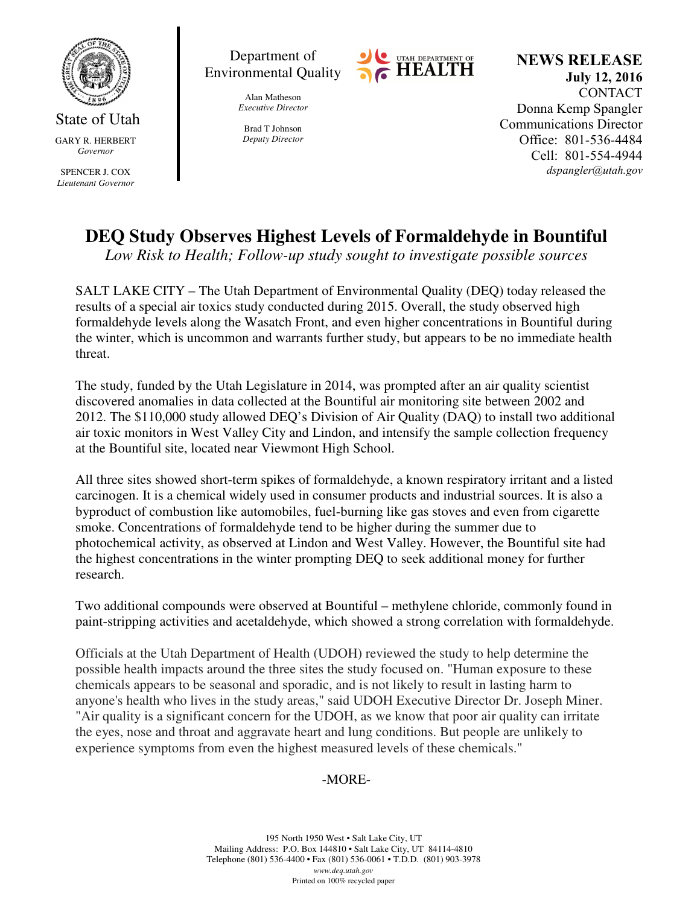

State of Utah GARY R. HERBERT *Governor* 

SPENCER J. COX *Lieutenant Governor* 

Department of Environmental Quality

> *Executive Director*  Brad T Johnson *Deputy Director*

Alan Matheson



NEWS RELEASE July 12, 2016 **CONTACT** Donna Kemp Spangler Communications Director Office: 801-536-4484 Cell: 801-554-4944 dspangler@utah.gov

## **DEQ Study Observes Highest Levels of Formaldehyde in Bountiful**

*Low Risk to Health; Follow-up study sought to investigate possible sources* 

SALT LAKE CITY – The Utah Department of Environmental Quality (DEQ) today released the results of a special air toxics study conducted during 2015. Overall, the study observed high formaldehyde levels along the Wasatch Front, and even higher concentrations in Bountiful during the winter, which is uncommon and warrants further study, but appears to be no immediate health threat.

The study, funded by the Utah Legislature in 2014, was prompted after an air quality scientist discovered anomalies in data collected at the Bountiful air monitoring site between 2002 and 2012. The \$110,000 study allowed DEQ's Division of Air Quality (DAQ) to install two additional air toxic monitors in West Valley City and Lindon, and intensify the sample collection frequency at the Bountiful site, located near Viewmont High School.

All three sites showed short-term spikes of formaldehyde, a known respiratory irritant and a listed carcinogen. It is a chemical widely used in consumer products and industrial sources. It is also a byproduct of combustion like automobiles, fuel-burning like gas stoves and even from cigarette smoke. Concentrations of formaldehyde tend to be higher during the summer due to photochemical activity, as observed at Lindon and West Valley. However, the Bountiful site had the highest concentrations in the winter prompting DEQ to seek additional money for further research.

Two additional compounds were observed at Bountiful – methylene chloride, commonly found in paint-stripping activities and acetaldehyde, which showed a strong correlation with formaldehyde.

Officials at the Utah Department of Health (UDOH) reviewed the study to help determine the possible health impacts around the three sites the study focused on. "Human exposure to these chemicals appears to be seasonal and sporadic, and is not likely to result in lasting harm to anyone's health who lives in the study areas," said UDOH Executive Director Dr. Joseph Miner. "Air quality is a significant concern for the UDOH, as we know that poor air quality can irritate the eyes, nose and throat and aggravate heart and lung conditions. But people are unlikely to experience symptoms from even the highest measured levels of these chemicals."

## -MORE-